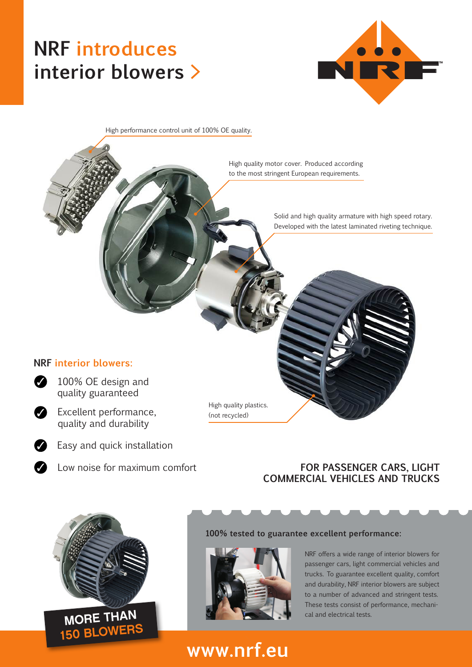# **NRF introduces interior blowers >**



High performance control unit of 100% OE quality.

High quality motor cover. Produced according to the most stringent European requirements.

> Solid and high quality armature with high speed rotary. Developed with the latest laminated riveting technique.

#### **NRF interior blowers:**



◆ 100% OE design and



quality guaranteed



✓

✓

- ◆ Excellent performance, quality and durability
	- Easy and quick installation
	-

#### Low noise for maximum comfort **FOR PASSENGER CARS, LIGHT COMMERCIAL VEHICLES AND TRUCKS**



#### **100% tested to guarantee excellent performance:**



High quality plastics. (not recycled)

> NRF offers a wide range of interior blowers for passenger cars, light commercial vehicles and trucks. To guarantee excellent quality, comfort and durability, NRF interior blowers are subject to a number of advanced and stringent tests. These tests consist of performance, mechanical and electrical tests.

### **www.nrf.eu**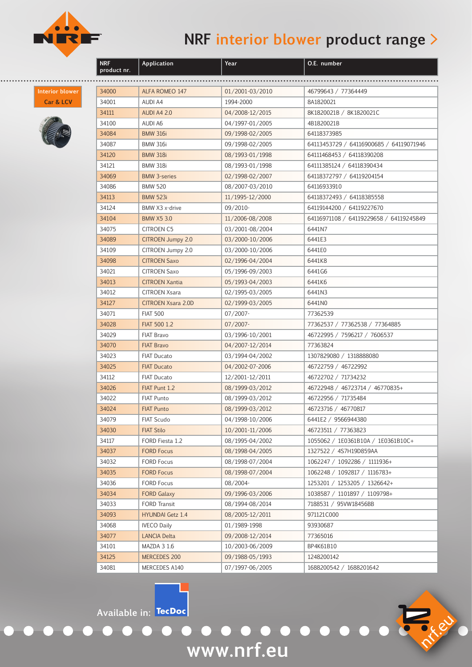

**Application Year O.E. number**

**Interior blower Car & LCV**



| product nr. |                           |                 |                                         |
|-------------|---------------------------|-----------------|-----------------------------------------|
|             |                           |                 |                                         |
| 34000       | ALFA ROMEO 147            | 01/2001-03/2010 | 46799643 / 77364449                     |
| 34001       | <b>AUDI A4</b>            | 1994-2000       | 8A1820021                               |
| 34111       | <b>AUDI A4 2.0</b>        | 04/2008-12/2015 | 8K1820021B / 8K1820021C                 |
| 34100       | AUDI A6                   | 04/1997-01/2005 | 4B1820021B                              |
| 34084       | <b>BMW 316i</b>           | 09/1998-02/2005 | 64118373985                             |
| 34087       | <b>BMW 316i</b>           | 09/1998-02/2005 | 64113453729 / 64116900685 / 64119071946 |
| 34120       | <b>BMW 318i</b>           | 08/1993-01/1998 | 64111468453 / 64118390208               |
| 34121       | <b>BMW 318i</b>           | 08/1993-01/1998 | 64111385124 / 64118390434               |
| 34069       | <b>BMW 3-series</b>       | 02/1998-02/2007 | 64118372797 / 64119204154               |
| 34086       | <b>BMW 520</b>            | 08/2007-03/2010 | 64116933910                             |
| 34113       | <b>BMW 523i</b>           | 11/1995-12/2000 | 64118372493 / 64118385558               |
| 34124       | BMW X3 x-drive            | 09/2010-        | 64119144200 / 64119227670               |
| 34104       | <b>BMW X5 3.0</b>         | 11/2006-08/2008 | 64116971108 / 64119229658 / 64119245849 |
| 34075       | <b>CITROEN C5</b>         | 03/2001-08/2004 | 6441N7                                  |
| 34089       | <b>CITROEN Jumpy 2.0</b>  | 03/2000-10/2006 | 6441E3                                  |
| 34109       | CITROEN Jumpy 2.0         | 03/2000-10/2006 | 6441E0                                  |
| 34098       | <b>CITROEN Saxo</b>       | 02/1996-04/2004 | 6441K8                                  |
| 34021       | <b>CITROEN Saxo</b>       | 05/1996-09/2003 | 6441G6                                  |
| 34013       | <b>CITROEN Xantia</b>     | 05/1993-04/2003 | 6441K6                                  |
| 34012       | <b>CITROEN Xsara</b>      | 02/1995-03/2005 | 6441N3                                  |
| 34127       | <b>CITROEN Xsara 2.0D</b> | 02/1999-03/2005 | 6441N0                                  |
| 34071       | <b>FIAT 500</b>           | 07/2007-        | 77362539                                |
| 34028       | FIAT 500 1.2              | $07/2007 -$     | 77362537 / 77362538 / 77364885          |
| 34029       | FIAT Bravo                | 03/1996-10/2001 | 46722995 / 7596217 / 7606537            |
| 34070       | <b>FIAT Bravo</b>         | 04/2007-12/2014 | 77363824                                |
| 34023       | FIAT Ducato               | 03/1994-04/2002 | 1307829080 / 1318888080                 |
| 34025       | <b>FIAT Ducato</b>        | 04/2002-07-2006 | 46722759 / 46722992                     |
| 34112       | <b>FIAT Ducato</b>        | 12/2001-12/2011 | 46722702 / 71734232                     |
| 34026       | FIAT Punt 1.2             | 08/1999-03/2012 | 46722948 / 46723714 / 46770835+         |
| 34022       | <b>FIAT Punto</b>         | 08/1999-03/2012 | 46722956 / 71735484                     |
| 34024       | <b>FIAT Punto</b>         | 08/1999-03/2012 | 46723716 / 46770817                     |
| 34079       | <b>FIAT Scudo</b>         | 04/1998-10/2006 | 6441E2 / 9566944380                     |
| 34030       | <b>FIAT Stilo</b>         | 10/2001-11/2006 | 46723511 / 77363823                     |
| 34117       | FORD Fiesta 1.2           | 08/1995-04/2002 | 1055062 / 1E0361B10A / 1E0361B10C+      |
| 34037       | <b>FORD Focus</b>         | 08/1998-04/2005 | 1327522 / 4S7H19D859AA                  |
| 34032       | <b>FORD Focus</b>         | 08/1998-07/2004 | 1062247 / 1092286 / 1111936+            |
| 34035       | <b>FORD Focus</b>         | 08/1998-07/2004 | 1062248 / 1092817 / 1116783+            |
| 34036       | <b>FORD Focus</b>         | 08/2004-        | 1253201 / 1253205 / 1326642+            |
| 34034       | <b>FORD Galaxy</b>        | 09/1996-03/2006 | 1038587 / 1101897 / 1109798+            |
| 34033       | <b>FORD Transit</b>       | 08/1994-08/2014 | 7188531 / 95VW18456BB                   |
| 34093       | <b>HYUNDAI Getz 1.4</b>   | 08/2005-12/2011 | 971121C000                              |
| 34068       | <b>IVECO Daily</b>        | 01/1989-1998    | 93930687                                |
| 34077       | <b>LANCIA Delta</b>       | 09/2008-12/2014 | 77365016                                |
| 34101       | MAZDA 3 1.6               | 10/2003-06/2009 | BP4K61B10                               |
| 34125       | MERCEDES 200              | 09/1988-05/1993 | 1248200142                              |
| 34081       | MERCEDES A140             | 07/1997-06/2005 | 1688200542 / 1688201642                 |

**www.nrf.eu**

nrf.eu

**Available in:**

 $\bullet$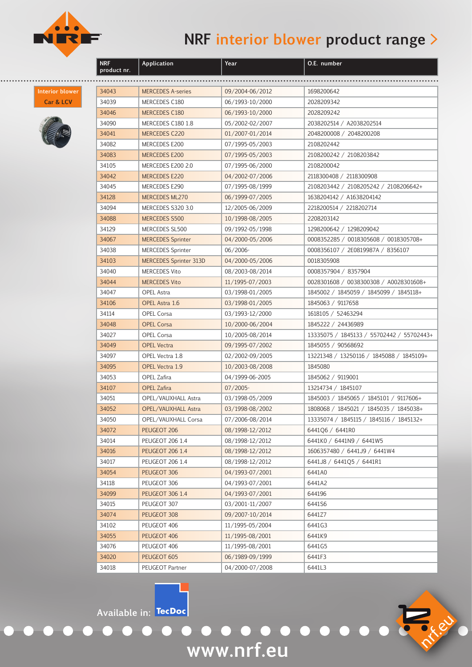

**Application Year O.E. number**

**Interior blower Car & LCV**



| product nr. |                               |                 |                                           |
|-------------|-------------------------------|-----------------|-------------------------------------------|
|             |                               |                 |                                           |
| 34043       | <b>MERCEDES A-series</b>      | 09/2004-06/2012 | 1698200642                                |
| 34039       | MERCEDES C180                 | 06/1993-10/2000 | 2028209342                                |
| 34046       | MERCEDES C180                 | 06/1993-10/2000 | 2028209242                                |
| 34090       | MERCEDES C180 1.8             | 05/2002-02/2007 | 2038202514 / A2038202514                  |
| 34041       | MERCEDES C220                 | 01/2007-01/2014 | 2048200008 / 2048200208                   |
| 34082       | MERCEDES E200                 | 07/1995-05/2003 | 2108202442                                |
| 34083       | MERCEDES E200                 | 07/1995-05/2003 | 2108200242 / 2108203842                   |
| 34105       | MERCEDES E200 2.0             | 07/1995-06/2000 | 2108200042                                |
| 34042       | MERCEDES E220                 | 04/2002-07/2006 | 2118300408 / 2118300908                   |
| 34045       | MERCEDES E290                 | 07/1995-08/1999 | 2108203442 / 2108205242 / 2108206642+     |
| 34128       | MERCEDES ML270                | 06/1999-07/2005 | 1638204142 / A1638204142                  |
| 34094       | MERCEDES S320 3.0             | 12/2005-06/2009 | 2218200514 / 2218202714                   |
| 34088       | MERCEDES S500                 | 10/1998-08/2005 | 2208203142                                |
| 34129       | MERCEDES SL500                | 09/1992-05/1998 | 1298200642 / 1298209042                   |
| 34067       | <b>MERCEDES Sprinter</b>      | 04/2000-05/2006 | 0008352285 / 0018305608 / 0018305708+     |
| 34038       | <b>MERCEDES Sprinter</b>      | 06/2006-        | 0008356107 / 2E0819987A / 8356107         |
| 34103       | <b>MERCEDES Sprinter 313D</b> | 04/2000-05/2006 | 0018305908                                |
| 34040       | <b>MERCEDES Vito</b>          | 08/2003-08/2014 | 0008357904 / 8357904                      |
| 34044       | <b>MERCEDES Vito</b>          | 11/1995-07/2003 | 0028301608 / 0038300308 / A0028301608+    |
| 34047       | <b>OPEL Astra</b>             | 03/1998-01/2005 | 1845002 / 1845059 / 1845099 / 1845118+    |
| 34106       | OPEL Astra 1.6                | 03/1998-01/2005 | 1845063 / 9117658                         |
| 34114       | <b>OPEL Corsa</b>             | 03/1993-12/2000 | 1618105 / 52463294                        |
| 34048       | <b>OPEL Corsa</b>             | 10/2000-06/2004 | 1845222 / 24436989                        |
| 34027       | <b>OPEL Corsa</b>             | 10/2005-08/2014 | 13335075 / 1845133 / 55702442 / 55702443+ |
| 34049       | <b>OPEL Vectra</b>            | 09/1995-07/2002 | 1845055 / 90568692                        |
| 34097       | OPEL Vectra 1.8               | 02/2002-09/2005 | 13221348 / 13250116 / 1845088 / 1845109+  |
| 34095       | OPEL Vectra 1.9               | 10/2003-08/2008 | 1845080                                   |
| 34053       | OPEL Zafira                   | 04/1999-06-2005 | 1845062 / 9119001                         |
| 34107       | <b>OPEL Zafira</b>            | $07/2005$ -     | 13214734 / 1845107                        |
| 34051       | OPEL/VAUXHALL Astra           | 03/1998-05/2009 | 1845003 / 1845065 / 1845101 / 9117606+    |
| 34052       | OPEL/VAUXHALL Astra           | 03/1998-08/2002 | 1808068 / 1845021 / 1845035 / 1845038+    |
| 34050       | OPEL/VAUXHALL Corsa           | 07/2006-08/2014 | 13335074 / 1845115 / 1845116 / 1845132+   |
| 34072       | PEUGEOT 206                   | 08/1998-12/2012 | 6441Q6 / 6441R0                           |
| 34014       | <b>PEUGEOT 206 1.4</b>        | 08/1998-12/2012 | 6441K0 / 6441N9 / 6441W5                  |
| 34016       | <b>PEUGEOT 206 1.4</b>        | 08/1998-12/2012 | 1606357480 / 6441J9 / 6441W4              |
| 34017       | <b>PEUGEOT 206 1.4</b>        | 08/1998-12/2012 | 6441J8 / 6441Q5 / 6441R1                  |
| 34054       | PEUGEOT 306                   | 04/1993-07/2001 | 6441A0                                    |
| 34118       | PEUGEOT 306                   | 04/1993-07/2001 | 6441A2                                    |
| 34099       | <b>PEUGEOT 306 1.4</b>        | 04/1993-07/2001 | 644196                                    |
| 34015       | PEUGEOT 307                   | 03/2001-11/2007 | 6441S6                                    |
| 34074       | PEUGEOT 308                   | 09/2007-10/2014 | 6441Z7                                    |
| 34102       | PEUGEOT 406                   | 11/1995-05/2004 | 6441G3                                    |
| 34055       | PEUGEOT 406                   | 11/1995-08/2001 | 6441K9                                    |
| 34076       | PEUGEOT 406                   | 11/1995-08/2001 | 6441G5                                    |
| 34020       | PEUGEOT 605                   | 06/1989-09/1999 | 6441F3                                    |
| 34018       | PEUGEOT Partner               | 04/2000-07/2008 | 6441L3                                    |

**www.nrf.eu**

 $\bullet$ 

o o de la po

**Available in:**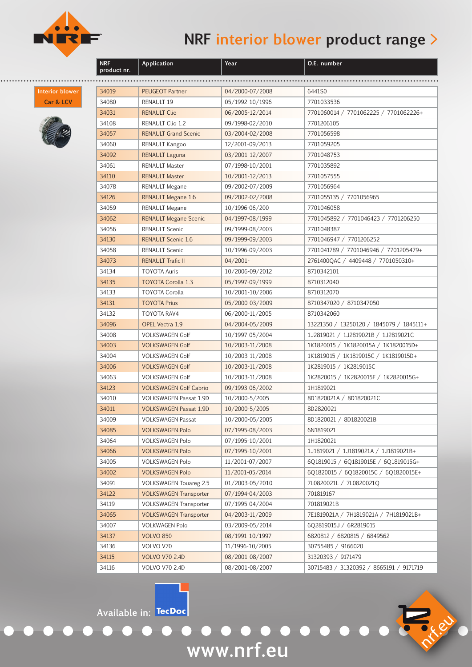

**Application Year O.E. number**

**Interior blower Car & LCV**



| product nr. |                               |                 |                                          |
|-------------|-------------------------------|-----------------|------------------------------------------|
|             |                               |                 |                                          |
| 34019       | <b>PEUGEOT Partner</b>        | 04/2000-07/2008 | 6441S0                                   |
| 34080       | RENAULT 19                    | 05/1992-10/1996 | 7701033536                               |
| 34031       | <b>RENAULT Clio</b>           | 06/2005-12/2014 | 7701060014 / 7701062225 / 7701062226+    |
| 34108       | RENAULT Clio 1.2              | 09/1998-02/2010 | 7701206105                               |
| 34057       | <b>RENAULT Grand Scenic</b>   | 03/2004-02/2008 | 7701056598                               |
| 34060       | RENAULT Kangoo                | 12/2001-09/2013 | 7701059205                               |
| 34092       | <b>RENAULT Laguna</b>         | 03/2001-12/2007 | 7701048753                               |
| 34061       | <b>RENAULT Master</b>         | 07/1998-10/2001 | 7701035892                               |
| 34110       | <b>RENAULT Master</b>         | 10/2001-12/2013 | 7701057555                               |
| 34078       | RENAULT Megane                | 09/2002-07/2009 | 7701056964                               |
| 34126       | <b>RENAULT Megane 1.6</b>     | 09/2002-02/2008 | 7701055135 / 7701056965                  |
| 34059       | <b>RENAULT Megane</b>         | 10/1996-06/200  | 7701046058                               |
| 34062       | <b>RENAULT Megane Scenic</b>  | 04/1997-08/1999 | 7701045892 / 7701046423 / 7701206250     |
| 34056       | <b>RENAULT Scenic</b>         | 09/1999-08/2003 | 7701048387                               |
| 34130       | <b>RENAULT Scenic 1.6</b>     | 09/1999-09/2003 | 7701046947 / 7701206252                  |
| 34058       | <b>RENAULT Scenic</b>         | 10/1996-09/2003 | 7701041789 / 7701046946 / 7701205479+    |
| 34073       | <b>RENAULT Trafic II</b>      | $04/2001 -$     | 2761400QAC / 4409448 / 7701050310+       |
| 34134       | <b>TOYOTA Auris</b>           | 10/2006-09/2012 | 8710342101                               |
| 34135       | <b>TOYOTA Corolla 1.3</b>     | 05/1997-09/1999 | 8710312040                               |
| 34133       | <b>TOYOTA Corolla</b>         | 10/2001-10/2006 | 8710312070                               |
| 34131       | <b>TOYOTA Prius</b>           | 05/2000-03/2009 | 8710347020 / 8710347050                  |
| 34132       | <b>TOYOTA RAV4</b>            | 06/2000-11/2005 | 8710342060                               |
| 34096       | <b>OPEL Vectra 1.9</b>        | 04/2004-05/2009 | 13221350 / 13250120 / 1845079 / 1845111+ |
| 34008       | <b>VOLKSWAGEN Golf</b>        | 10/1997-05/2004 | 1J2819021 / 1J2819021B / 1J2819021C      |
| 34003       | <b>VOLKSWAGEN Golf</b>        | 10/2003-11/2008 | 1K1820015 / 1K1820015A / 1K1820015D+     |
| 34004       | <b>VOLKSWAGEN Golf</b>        | 10/2003-11/2008 | 1K1819015 / 1K1819015C / 1K1819015D+     |
| 34006       | <b>VOLKSWAGEN Golf</b>        | 10/2003-11/2008 | 1K2819015 / 1K2819015C                   |
| 34063       | <b>VOLKSWAGEN Golf</b>        | 10/2003-11/2008 | 1K2820015 / 1K2820015F / 1K2820015G+     |
| 34123       | <b>VOLKSWAGEN Golf Cabrio</b> | 09/1993-06/2002 | 1H1819021                                |
| 34010       | VOLKSWAGEN Passat 1.9D        | 10/2000-5/2005  | 8D1820021A / 8D1820021C                  |
| 34011       | <b>VOLKSWAGEN Passat 1.9D</b> | 10/2000-5/2005  | 8D2820021                                |
| 34009       | <b>VOLKSWAGEN Passat</b>      | 10/2000-05/2005 | 8D1820021 / 8D1820021B                   |
| 34085       | <b>VOLKSWAGEN Polo</b>        | 07/1995-08/2003 | 6N1819021                                |
| 34064       | VOLKSWAGEN Polo               | 07/1995-10/2001 | 1H1820021                                |
| 34066       | <b>VOLKSWAGEN Polo</b>        | 07/1995-10/2001 | 1J1819021 / 1J1819021A / 1J1819021B+     |
| 34005       | <b>VOLKSWAGEN Polo</b>        | 11/2001-07/2007 | 6Q1819015 / 6Q1819015E / 6Q1819015G+     |
| 34002       | <b>VOLKSWAGEN Polo</b>        | 11/2001-05/2014 | 6Q1820015 / 6Q1820015C / 6Q1820015E+     |
| 34091       | <b>VOLKSWAGEN Touareg 2.5</b> | 01/2003-05/2010 | 7L0820021L / 7L0820021Q                  |
| 34122       | <b>VOLKSWAGEN Transporter</b> | 07/1994-04/2003 | 701819167                                |
| 34119       | <b>VOLKSWAGEN Transporter</b> | 07/1995-04/2004 | 701819021B                               |
| 34065       | <b>VOLKSWAGEN Transporter</b> | 04/2003-11/2009 | 7E1819021A / 7H1819021A / 7H1819021B+    |
| 34007       | <b>VOLKWAGEN Polo</b>         | 03/2009-05/2014 | 6Q2819015J / 6R2819015                   |
| 34137       | <b>VOLVO 850</b>              | 08/1991-10/1997 | 6820812 / 6820815 / 6849562              |
| 34136       | VOLVO V70                     | 11/1996-10/2005 | 30755485 / 9166020                       |
| 34115       | <b>VOLVO V70 2.4D</b>         | 08/2001-08/2007 | 31320393 / 9171479                       |
| 34116       | <b>VOLVO V70 2.4D</b>         | 08/2001-08/2007 | 30715483 / 31320392 / 8665191 / 9171719  |
|             |                               |                 |                                          |

**www.nrf.eu**

 $\bullet$ 

on the co

**Available in:**